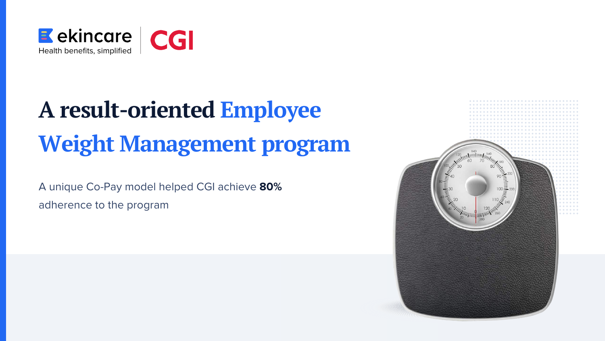# **A result-oriented Employee Weight Management program**



A unique Co-Pay model helped CGI achieve **80%** adherence to the program

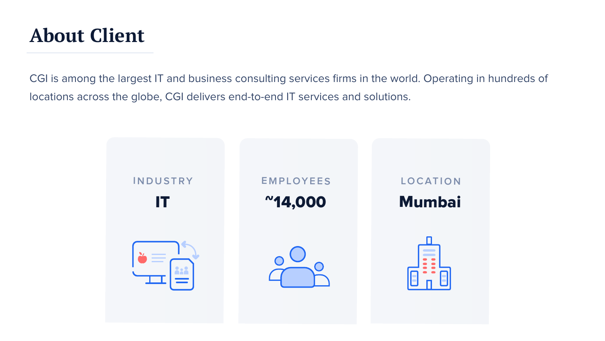### **About Client**

CGI is among the largest IT and business consulting services firms in the world. Operating in hundreds of locations across the globe, CGI delivers end-to-end IT services and solutions.

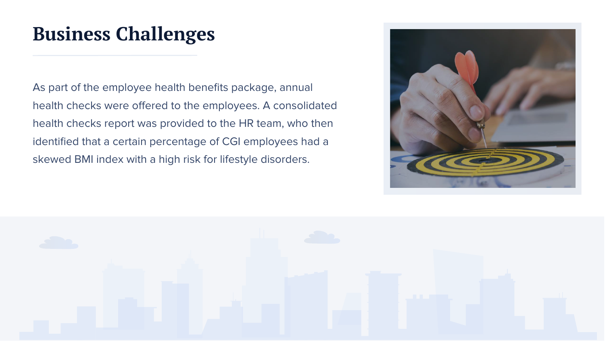As part of the employee health benefits package, annual health checks were offered to the employees. A consolidated health checks report was provided to the HR team, who then identified that a certain percentage of CGI employees had a skewed BMI index with a high risk for lifestyle disorders.





## **Business Challenges**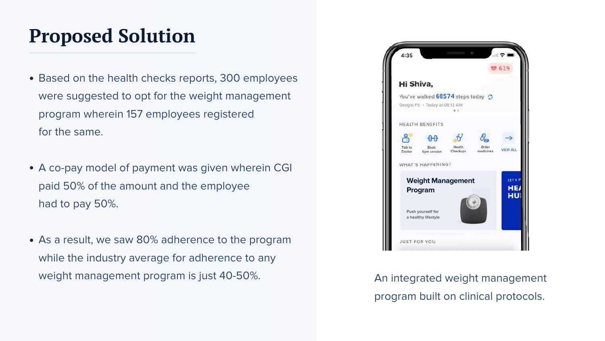### **Proposed Solution**

- Based on the health checks reports, 300 employees were suggested to opt for the weight management program wherein 157 employees registered for the same.
- A co-pay model of payment was given wherein CGI paid 50% of the amount and the employee had to pay 50%.
- As a result, we saw 80% adherence to the program while the industry average for adherence to any weight management program is just 40-50%. An integrated weight management

program built on clinical protocols.

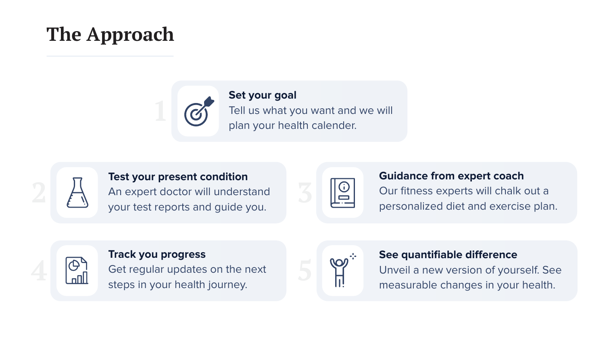### **The Approach**



### **Test your present condition**  An expert doctor will understand your test reports and guide you.



#### **Track you progress**

Get regular updates on the next steps in your health journey.



**See quantifiable difference** Unveil a new version of yourself. See measurable changes in your health.

#### **Guidance from expert coach**

Our fitness experts will chalk out a personalized diet and exercise plan.



#### **Set your goal**

Tell us what you want and we will plan your health calender.

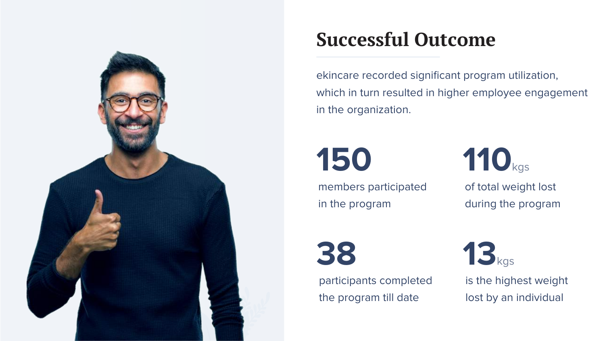

## **Successful Outcome**

# **150**

members participated in the program

# **38**

participants completed the program till date

ekincare recorded significant program utilization, which in turn resulted in higher employee engagement in the organization.



of total weight lost during the program



is the highest weight lost by an individual